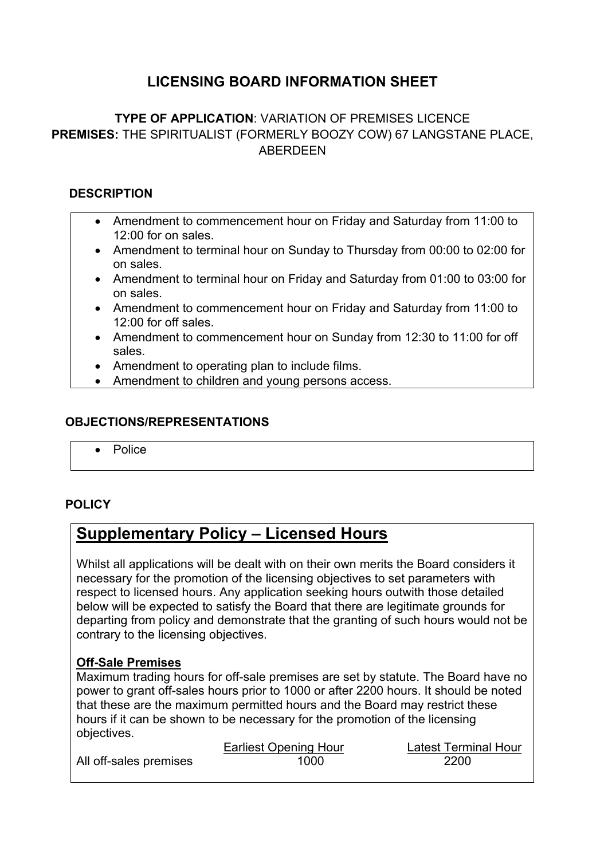# **LICENSING BOARD INFORMATION SHEET**

# **TYPE OF APPLICATION**: VARIATION OF PREMISES LICENCE **PREMISES:** THE SPIRITUALIST (FORMERLY BOOZY COW) 67 LANGSTANE PLACE, ABERDEEN

### **DESCRIPTION**

- Amendment to commencement hour on Friday and Saturday from 11:00 to 12:00 for on sales.
- Amendment to terminal hour on Sunday to Thursday from 00:00 to 02:00 for on sales.
- Amendment to terminal hour on Friday and Saturday from 01:00 to 03:00 for on sales.
- Amendment to commencement hour on Friday and Saturday from 11:00 to 12:00 for off sales.
- Amendment to commencement hour on Sunday from 12:30 to 11:00 for off sales.
- Amendment to operating plan to include films.
- Amendment to children and young persons access.

#### **OBJECTIONS/REPRESENTATIONS**

Police

### **POLICY**

# **Supplementary Policy – Licensed Hours**

Whilst all applications will be dealt with on their own merits the Board considers it necessary for the promotion of the licensing objectives to set parameters with respect to licensed hours. Any application seeking hours outwith those detailed below will be expected to satisfy the Board that there are legitimate grounds for departing from policy and demonstrate that the granting of such hours would not be contrary to the licensing objectives.

#### **Off-Sale Premises**

Maximum trading hours for off-sale premises are set by statute. The Board have no power to grant off-sales hours prior to 1000 or after 2200 hours. It should be noted that these are the maximum permitted hours and the Board may restrict these hours if it can be shown to be necessary for the promotion of the licensing objectives.

|                        | <b>Earliest Opening Hour</b> | <b>Latest Terminal Hour</b> |
|------------------------|------------------------------|-----------------------------|
| All off-sales premises | 1000                         | 2200                        |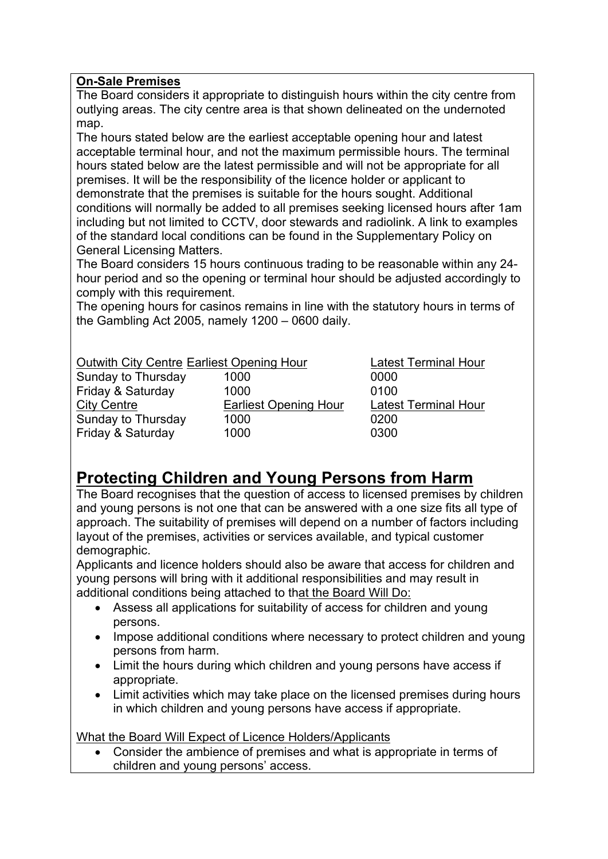## **On-Sale Premises**

The Board considers it appropriate to distinguish hours within the city centre from outlying areas. The city centre area is that shown delineated on the undernoted map.

The hours stated below are the earliest acceptable opening hour and latest acceptable terminal hour, and not the maximum permissible hours. The terminal hours stated below are the latest permissible and will not be appropriate for all premises. It will be the responsibility of the licence holder or applicant to demonstrate that the premises is suitable for the hours sought. Additional conditions will normally be added to all premises seeking licensed hours after 1am including but not limited to CCTV, door stewards and radiolink. A link to examples of the standard local conditions can be found in the Supplementary Policy on General Licensing Matters.

The Board considers 15 hours continuous trading to be reasonable within any 24 hour period and so the opening or terminal hour should be adjusted accordingly to comply with this requirement.

The opening hours for casinos remains in line with the statutory hours in terms of the Gambling Act 2005, namely 1200 – 0600 daily.

### Outwith City Centre Earliest Opening Hour Latest Terminal Hour

| Sunday to Thursday | 1000                         | 0000  |
|--------------------|------------------------------|-------|
| Friday & Saturday  | 1000                         | 0100  |
| <b>City Centre</b> | <b>Earliest Opening Hour</b> | Lates |
| Sunday to Thursday | 1000                         | 0200  |
| Friday & Saturday  | 1000                         | 0300  |

arliest Opening Hour Latest Terminal Hour

# **Protecting Children and Young Persons from Harm**

The Board recognises that the question of access to licensed premises by children and young persons is not one that can be answered with a one size fits all type of approach. The suitability of premises will depend on a number of factors including layout of the premises, activities or services available, and typical customer demographic.

Applicants and licence holders should also be aware that access for children and young persons will bring with it additional responsibilities and may result in additional conditions being attached to that the Board Will Do:

- Assess all applications for suitability of access for children and young persons.
- Impose additional conditions where necessary to protect children and young persons from harm.
- Limit the hours during which children and young persons have access if appropriate.
- Limit activities which may take place on the licensed premises during hours in which children and young persons have access if appropriate.

What the Board Will Expect of Licence Holders/Applicants

 Consider the ambience of premises and what is appropriate in terms of children and young persons' access.